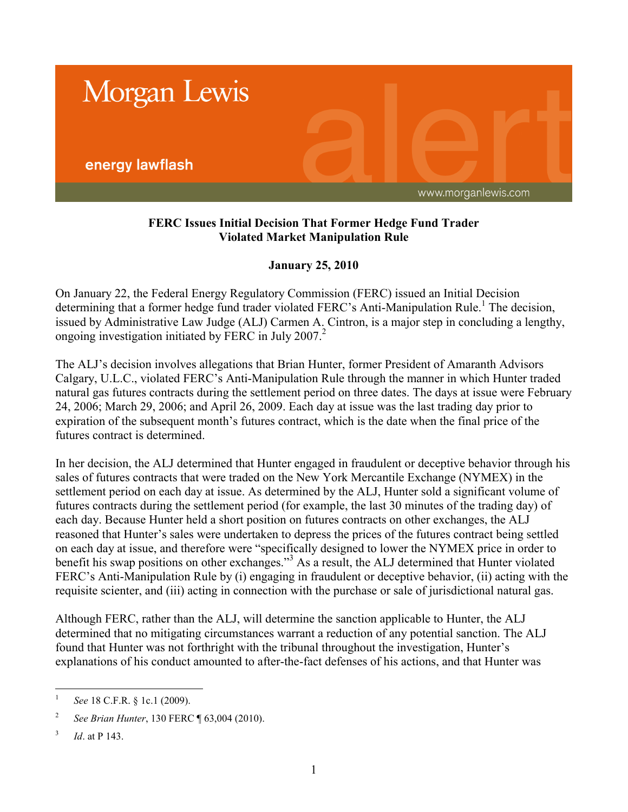

## **FERC Issues Initial Decision That Former Hedge Fund Trader Violated Market Manipulation Rule**

## **January 25, 2010**

On January 22, the Federal Energy Regulatory Commission (FERC) issued an Initial Decision determining that a former hedge fund trader violated FERC's Anti-Manipulation Rule.<sup>1</sup> The decision, issued by Administrative Law Judge (ALJ) Carmen A. Cintron, is a major step in concluding a lengthy, ongoing investigation initiated by FERC in July 2007.<sup>2</sup>

The ALJ's decision involves allegations that Brian Hunter, former President of Amaranth Advisors Calgary, U.L.C., violated FERC's Anti-Manipulation Rule through the manner in which Hunter traded natural gas futures contracts during the settlement period on three dates. The days at issue were February 24, 2006; March 29, 2006; and April 26, 2009. Each day at issue was the last trading day prior to expiration of the subsequent month's futures contract, which is the date when the final price of the futures contract is determined.

In her decision, the ALJ determined that Hunter engaged in fraudulent or deceptive behavior through his sales of futures contracts that were traded on the New York Mercantile Exchange (NYMEX) in the settlement period on each day at issue. As determined by the ALJ, Hunter sold a significant volume of futures contracts during the settlement period (for example, the last 30 minutes of the trading day) of each day. Because Hunter held a short position on futures contracts on other exchanges, the ALJ reasoned that Hunter's sales were undertaken to depress the prices of the futures contract being settled on each day at issue, and therefore were "specifically designed to lower the NYMEX price in order to benefit his swap positions on other exchanges."<sup>3</sup> As a result, the ALJ determined that Hunter violated FERC's Anti-Manipulation Rule by (i) engaging in fraudulent or deceptive behavior, (ii) acting with the requisite scienter, and (iii) acting in connection with the purchase or sale of jurisdictional natural gas.

Although FERC, rather than the ALJ, will determine the sanction applicable to Hunter, the ALJ determined that no mitigating circumstances warrant a reduction of any potential sanction. The ALJ found that Hunter was not forthright with the tribunal throughout the investigation, Hunter's explanations of his conduct amounted to after-the-fact defenses of his actions, and that Hunter was

 $\frac{1}{1}$ *See* 18 C.F.R. § 1c.1 (2009).

<sup>2</sup> *See Brian Hunter*, 130 FERC ¶ 63,004 (2010).

<sup>3</sup> *Id*. at P 143.